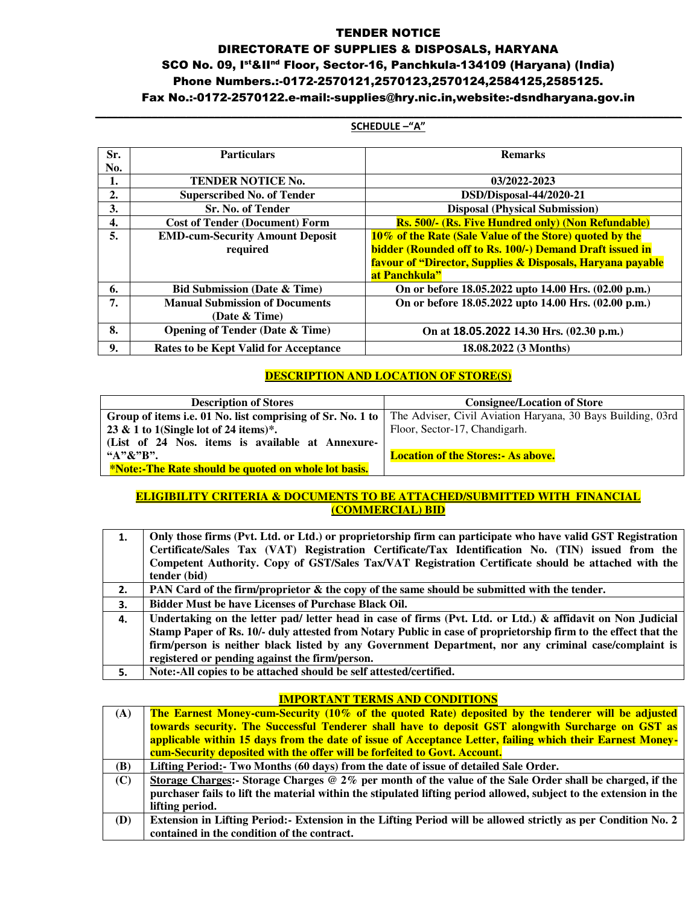#### TENDER NOTICE

## DIRECTORATE OF SUPPLIES & DISPOSALS, HARYANA SCO No. 09, Ist&IInd Floor, Sector-16, Panchkula-134109 (Haryana) (India) Phone Numbers.:-0172-2570121,2570123,2570124,2584125,2585125. Fax No.:-0172-2570122.e-mail:-supplies@hry.nic.in,website:-dsndharyana.gov.in

#### **\_\_\_\_\_\_\_\_\_\_\_\_\_\_\_\_\_\_\_\_\_\_\_\_\_\_\_\_\_\_\_\_\_\_\_\_\_\_\_\_\_\_\_\_\_\_\_\_\_\_\_\_\_\_\_\_\_\_\_\_\_\_\_\_\_\_\_\_\_\_\_\_\_\_\_\_\_\_\_\_\_\_\_\_\_\_\_\_\_\_\_\_\_\_\_\_\_\_\_\_\_\_\_ SCHEDULE –"A"**

| Sr. | <b>Particulars</b>                         | <b>Remarks</b>                                             |  |
|-----|--------------------------------------------|------------------------------------------------------------|--|
| No. |                                            |                                                            |  |
| 1.  | <b>TENDER NOTICE No.</b>                   | 03/2022-2023                                               |  |
| 2.  | <b>Superscribed No. of Tender</b>          | DSD/Disposal-44/2020-21                                    |  |
| 3.  | <b>Sr. No. of Tender</b>                   | <b>Disposal (Physical Submission)</b>                      |  |
| 4.  | <b>Cost of Tender (Document) Form</b>      | Rs. 500/- (Rs. Five Hundred only) (Non Refundable)         |  |
| 5.  | <b>EMD-cum-Security Amount Deposit</b>     | 10% of the Rate (Sale Value of the Store) quoted by the    |  |
|     | required                                   | bidder (Rounded off to Rs. 100/-) Demand Draft issued in   |  |
|     |                                            | favour of "Director, Supplies & Disposals, Haryana payable |  |
|     |                                            | at Panchkula"                                              |  |
| 6.  | <b>Bid Submission (Date &amp; Time)</b>    | On or before 18.05.2022 upto 14.00 Hrs. (02.00 p.m.)       |  |
| 7.  | <b>Manual Submission of Documents</b>      | On or before 18.05.2022 upto 14.00 Hrs. (02.00 p.m.)       |  |
|     | (Date & Time)                              |                                                            |  |
| 8.  | <b>Opening of Tender (Date &amp; Time)</b> | On at 18.05.2022 14.30 Hrs. (02.30 p.m.)                   |  |
| 9.  | Rates to be Kept Valid for Acceptance      | 18.08.2022 (3 Months)                                      |  |

#### **DESCRIPTION AND LOCATION OF STORE(S)**

| <b>Description of Stores</b>                         | <b>Consignee/Location of Store</b>                                                                                       |  |
|------------------------------------------------------|--------------------------------------------------------------------------------------------------------------------------|--|
|                                                      | Group of items i.e. 01 No. list comprising of Sr. No. 1 to   The Adviser, Civil Aviation Haryana, 30 Bays Building, 03rd |  |
| 23 & 1 to 1(Single lot of 24 items)*.                | Floor, Sector-17, Chandigarh.                                                                                            |  |
| (List of 24 Nos. items is available at Annexure-     |                                                                                                                          |  |
| " $A"R"R"$                                           | <b>Location of the Stores: - As above.</b>                                                                               |  |
| *Note:-The Rate should be quoted on whole lot basis. |                                                                                                                          |  |

### **ELIGIBILITY CRITERIA & DOCUMENTS TO BE ATTACHED/SUBMITTED WITH FINANCIAL (COMMERCIAL) BID**

| 1. | Only those firms (Pvt. Ltd. or Ltd.) or proprietorship firm can participate who have valid GST Registration    |
|----|----------------------------------------------------------------------------------------------------------------|
|    | Certificate/Sales Tax (VAT) Registration Certificate/Tax Identification No. (TIN) issued from the              |
|    | Competent Authority. Copy of GST/Sales Tax/VAT Registration Certificate should be attached with the            |
|    | tender (bid)                                                                                                   |
| 2. | PAN Card of the firm/proprietor & the copy of the same should be submitted with the tender.                    |
| З. | <b>Bidder Must be have Licenses of Purchase Black Oil.</b>                                                     |
| 4. | Undertaking on the letter pad/ letter head in case of firms (Pvt. Ltd. or Ltd.) & affidavit on Non Judicial    |
|    | Stamp Paper of Rs. 10/- duly attested from Notary Public in case of proprietorship firm to the effect that the |
|    | firm/person is neither black listed by any Government Department, nor any criminal case/complaint is           |
|    | registered or pending against the firm/person.                                                                 |
| 5. | Note:-All copies to be attached should be self attested/certified.                                             |

#### **IMPORTANT TERMS AND CONDITIONS**

| (A) | The Earnest Money-cum-Security (10% of the quoted Rate) deposited by the tenderer will be adjusted                 |
|-----|--------------------------------------------------------------------------------------------------------------------|
|     | towards security. The Successful Tenderer shall have to deposit GST alongwith Surcharge on GST as                  |
|     | applicable within 15 days from the date of issue of Acceptance Letter, failing which their Earnest Money-          |
|     | cum-Security deposited with the offer will be forfeited to Govt. Account.                                          |
| (B) | Lifting Period: - Two Months (60 days) from the date of issue of detailed Sale Order.                              |
| (C) | Storage Charges:- Storage Charges @ $2\%$ per month of the value of the Sale Order shall be charged, if the        |
|     | purchaser fails to lift the material within the stipulated lifting period allowed, subject to the extension in the |
|     | lifting period.                                                                                                    |
| (D) | Extension in Lifting Period: Extension in the Lifting Period will be allowed strictly as per Condition No. 2       |
|     | contained in the condition of the contract.                                                                        |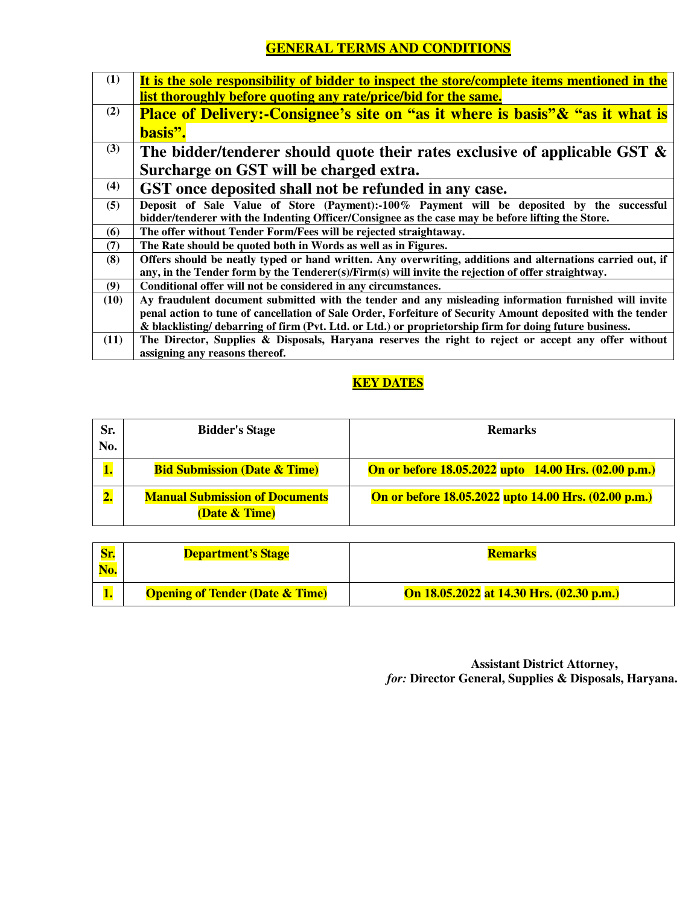# **GENERAL TERMS AND CONDITIONS**

| (1)  | It is the sole responsibility of bidder to inspect the store/complete items mentioned in the                                                                                                    |  |
|------|-------------------------------------------------------------------------------------------------------------------------------------------------------------------------------------------------|--|
|      | list thoroughly before quoting any rate/price/bid for the same.                                                                                                                                 |  |
| (2)  | <b>Place of Delivery:-Consignee's site on "as it where is basis" &amp; "as it what is</b>                                                                                                       |  |
|      | basis".                                                                                                                                                                                         |  |
| (3)  | The bidder/tenderer should quote their rates exclusive of applicable GST $\&$                                                                                                                   |  |
|      | Surcharge on GST will be charged extra.                                                                                                                                                         |  |
| (4)  | GST once deposited shall not be refunded in any case.                                                                                                                                           |  |
| (5)  | Deposit of Sale Value of Store (Payment):-100% Payment will be deposited by the successful<br>bidder/tenderer with the Indenting Officer/Consignee as the case may be before lifting the Store. |  |
| (6)  | The offer without Tender Form/Fees will be rejected straightaway.                                                                                                                               |  |
| (7)  | The Rate should be quoted both in Words as well as in Figures.                                                                                                                                  |  |
| (8)  | Offers should be neatly typed or hand written. Any overwriting, additions and alternations carried out, if                                                                                      |  |
|      | any, in the Tender form by the Tenderer(s)/Firm(s) will invite the rejection of offer straightway.                                                                                              |  |
| (9)  | Conditional offer will not be considered in any circumstances.                                                                                                                                  |  |
| (10) | Ay fraudulent document submitted with the tender and any misleading information furnished will invite                                                                                           |  |
|      | penal action to tune of cancellation of Sale Order, Forfeiture of Security Amount deposited with the tender                                                                                     |  |
|      | & blacklisting/ debarring of firm (Pvt. Ltd. or Ltd.) or proprietorship firm for doing future business.                                                                                         |  |
| (11) | The Director, Supplies & Disposals, Haryana reserves the right to reject or accept any offer without                                                                                            |  |
|      | assigning any reasons thereof.                                                                                                                                                                  |  |

# **KEY DATES**

| Sr.<br>No.               | <b>Bidder's Stage</b>                                             | <b>Remarks</b>                                              |  |
|--------------------------|-------------------------------------------------------------------|-------------------------------------------------------------|--|
|                          | <b>Bid Submission (Date &amp; Time)</b>                           | <b>On or before 18.05.2022 upto</b> 14.00 Hrs. (02.00 p.m.) |  |
| $\overline{\mathbf{2.}}$ | <b>Manual Submission of Documents</b><br><b>(Date &amp; Time)</b> | On or before 18.05.2022 upto 14.00 Hrs. (02.00 p.m.)        |  |

|     | <b>Department's Stage</b>                  | <b>Remarks</b>                           |  |
|-----|--------------------------------------------|------------------------------------------|--|
| No. |                                            |                                          |  |
|     | <b>Opening of Tender (Date &amp; Time)</b> | On 18.05.2022 at 14.30 Hrs. (02.30 p.m.) |  |

 **Assistant District Attorney,** *for:* **Director General, Supplies & Disposals, Haryana.**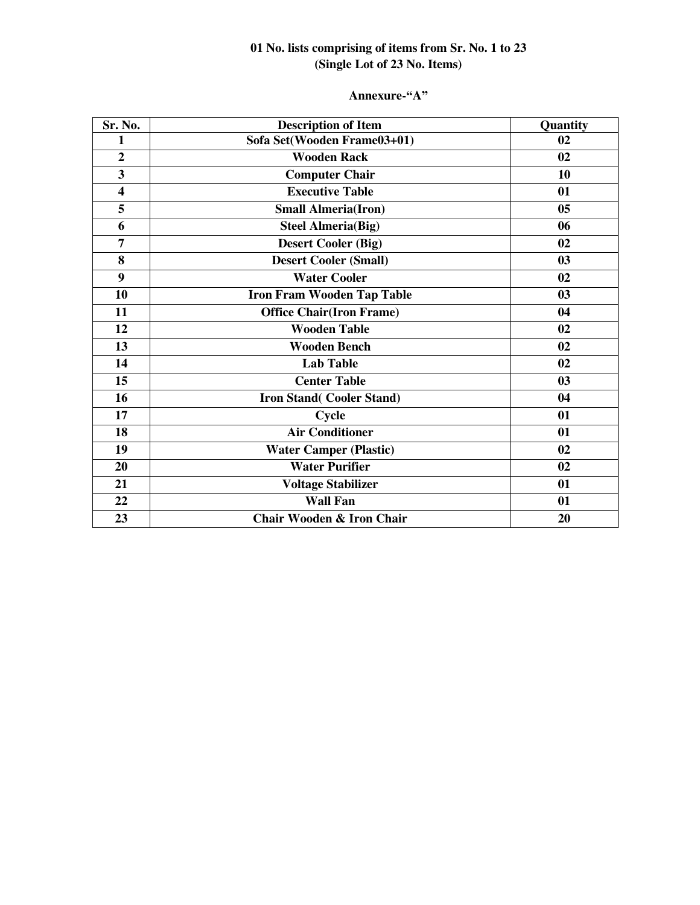# **01 No. lists comprising of items from Sr. No. 1 to 23 (Single Lot of 23 No. Items)**

### **Annexure-"A"**

| Sr. No.                 | <b>Description of Item</b>        | Quantity |
|-------------------------|-----------------------------------|----------|
| 1                       | Sofa Set(Wooden Frame03+01)       | 02       |
| $\overline{2}$          | <b>Wooden Rack</b>                | 02       |
| $\overline{\mathbf{3}}$ | <b>Computer Chair</b>             | 10       |
| $\overline{\mathbf{4}}$ | <b>Executive Table</b>            | 01       |
| 5                       | <b>Small Almeria(Iron)</b>        | 05       |
| 6                       | <b>Steel Almeria(Big)</b>         | 06       |
| 7                       | <b>Desert Cooler (Big)</b>        | 02       |
| 8                       | <b>Desert Cooler (Small)</b>      | 03       |
| 9                       | <b>Water Cooler</b>               | 02       |
| 10                      | <b>Iron Fram Wooden Tap Table</b> | 03       |
| 11                      | <b>Office Chair(Iron Frame)</b>   | 04       |
| 12                      | <b>Wooden Table</b>               | 02       |
| 13                      | Wooden Bench                      | 02       |
| 14                      | <b>Lab Table</b>                  | 02       |
| 15                      | <b>Center Table</b>               | 03       |
| 16                      | <b>Iron Stand(Cooler Stand)</b>   | 04       |
| 17                      | Cycle                             | 01       |
| 18                      | <b>Air Conditioner</b>            | 01       |
| 19                      | <b>Water Camper (Plastic)</b>     | 02       |
| 20                      | <b>Water Purifier</b>             | 02       |
| 21                      | <b>Voltage Stabilizer</b>         | 01       |
| 22                      | <b>Wall Fan</b>                   | 01       |
| 23                      | Chair Wooden & Iron Chair         | 20       |